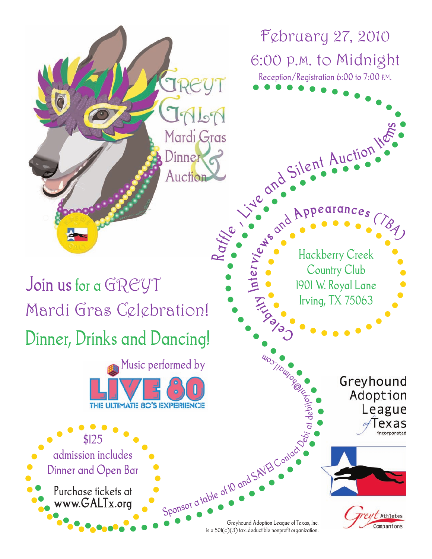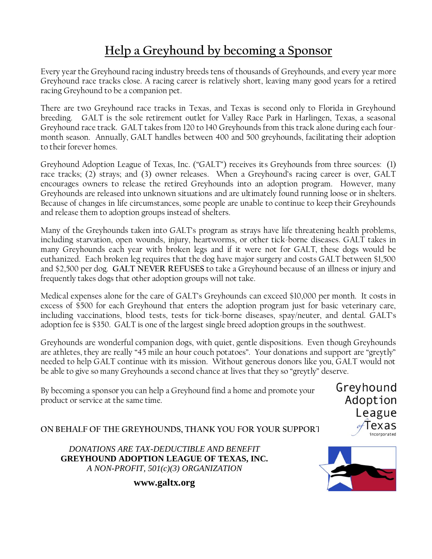## **Help a Greyhound by becoming a Sponsor**

Every year the Greyhound racing industry breeds tens of thousands of Greyhounds, and every year more Greyhound race tracks close. A racing career is relatively short, leaving many good years for a retired racing Greyhound to be a companion pet.

There are two Greyhound race tracks in Texas, and Texas is second only to Florida in Greyhound breeding. GALT is the sole retirement outlet for Valley Race Park in Harlingen, Texas, a seasonal Greyhound race track. GALT takes from 120 to 140 Greyhounds from this track alone during each fourmonth season. Annually, GALT handles between 400 and 500 greyhounds, facilitating their adoption to their forever homes.

Greyhound Adoption League of Texas, Inc. ("GALT") receives its Greyhounds from three sources: (1) race tracks; (2) strays; and (3) owner releases. When a Greyhound's racing career is over, GALT encourages owners to release the retired Greyhounds into an adoption program. However, many Greyhounds are released into unknown situations and are ultimately found running loose or in shelters. Because of changes in life circumstances, some people are unable to continue to keep their Greyhounds and release them to adoption groups instead of shelters.

Many of the Greyhounds taken into GALT's program as strays have life threatening health problems, including starvation, open wounds, injury, heartworms, or other tick-borne diseases. GALT takes in many Greyhounds each year with broken legs and if it were not for GALT, these dogs would be euthanized. Each broken leg requires that the dog have major surgery and costs GALT between \$1,500 and \$2,500 per dog. **GALT NEVER REFUSES** to take a Greyhound because of an illness or injury and frequently takes dogs that other adoption groups will not take.

Medical expenses alone for the care of GALT's Greyhounds can exceed \$10,000 per month. It costs in excess of \$500 for each Greyhound that enters the adoption program just for basic veterinary care, including vaccinations, blood tests, tests for tick-borne diseases, spay/neuter, and dental. GALT's adoption fee is \$350. GALT is one of the largest single breed adoption groups in the southwest.

Greyhounds are wonderful companion dogs, with quiet, gentle dispositions. Even though Greyhounds are athletes, they are really "45 mile an hour couch potatoes". Your donations and support are "greytly" needed to help GALT continue with its mission. Without generous donors like you, GALT would not be able to give so many Greyhounds a second chance at lives that they so "greytly" deserve.

By becoming a sponsor you can help a Greyhound find a home and promote your product or service at the same time.

Greyhound Adoption League lexas incorporated

**ON BEHALF OF THE GREYHOUNDS, THANK YOU FOR YOUR SUPPORT!**

*DONATIONS ARE TAX-DEDUCTIBLE AND BENEFIT* **GREYHOUND ADOPTION LEAGUE OF TEXAS, INC***. A NON-PROFIT, 501(c)(3) ORGANIZATION*



**[www.galtx.org](http://www.galtx.org/)**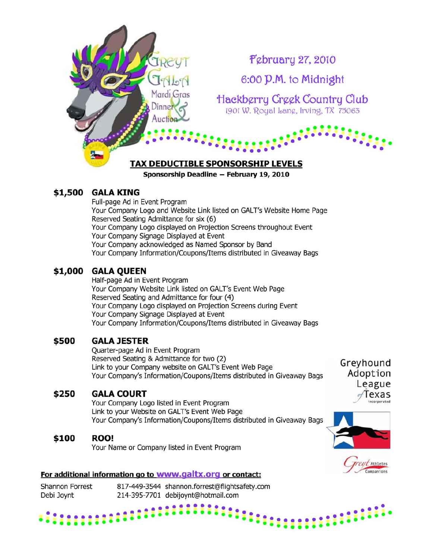

Sponsorship Deadline - February 19, 2010

### \$1,500 **GALA KING**

Full-page Ad in Event Program Your Company Logo and Website Link listed on GALT's Website Home Page Reserved Seating Admittance for six (6) Your Company Logo displayed on Projection Screens throughout Event Your Company Signage Displayed at Event Your Company acknowledged as Named Sponsor by Band Your Company Information/Coupons/Items distributed in Giveaway Bags

### \$1,000 **GALA QUEEN**

Half-page Ad in Event Program Your Company Website Link listed on GALT's Event Web Page Reserved Seating and Admittance for four (4) Your Company Logo displayed on Projection Screens during Event Your Company Signage Displayed at Event Your Company Information/Coupons/Items distributed in Giveaway Bags

### \$500 **GALA JESTER**

Quarter-page Ad in Event Program Reserved Seating & Admittance for two (2) Link to your Company website on GALT's Event Web Page Your Company's Information/Coupons/Items distributed in Giveaway Bags

### \$250 **GALA COURT**

Your Company Logo listed in Event Program Link to your Website on GALT's Event Web Page Your Company's Information/Coupons/Items distributed in Giveaway Bags

### \$100 **ROO!**

Your Name or Company listed in Event Program

# League Texas incorporated

Greyhound

Adoption



### For additional information go to www.galtx.org or contact:

817-449-3544 shannon.forrest@flightsafety.com Shannon Forrest Debi Joynt 214-395-7701 debijoynt@hotmail.com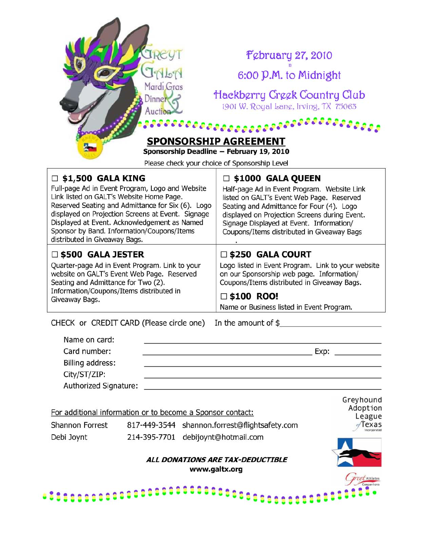| $N$ cl<br>Mardi Gras<br>$D$ inner<br>Auction <sup>2</sup><br>.                                                                                                                                                                                                                                                                                                   | <b>February 27, 2010</b><br>6:00 P.M. to Midnight<br>Hackberry Creek Country Club<br>1901 W. Royal Lang, Irving, TX 75063                                                                                                                                                                                |  |  |  |
|------------------------------------------------------------------------------------------------------------------------------------------------------------------------------------------------------------------------------------------------------------------------------------------------------------------------------------------------------------------|----------------------------------------------------------------------------------------------------------------------------------------------------------------------------------------------------------------------------------------------------------------------------------------------------------|--|--|--|
| SPONSORSHIP AGREEMENT<br>Sponsorship Deadline - February 19, 2010                                                                                                                                                                                                                                                                                                |                                                                                                                                                                                                                                                                                                          |  |  |  |
|                                                                                                                                                                                                                                                                                                                                                                  | Please check your choice of Sponsorship Level                                                                                                                                                                                                                                                            |  |  |  |
| $\Box$ \$1,500 GALA KING<br>Full-page Ad in Event Program, Logo and Website<br>Link listed on GALT's Website Home Page.<br>Reserved Seating and Admittance for Six (6). Logo<br>displayed on Projection Screens at Event. Signage<br>Displayed at Event. Acknowledgement as Named<br>Sponsor by Band. Information/Coupons/Items<br>distributed in Giveaway Bags. | □ \$1000  GALA QUEEN<br>Half-page Ad in Event Program. Website Link<br>listed on GALT's Event Web Page. Reserved<br>Seating and Admittance for Four (4). Logo<br>displayed on Projection Screens during Event.<br>Signage Displayed at Event. Information/<br>Coupons/Items distributed in Giveaway Bags |  |  |  |
| $\square$ \$500 GALA JESTER                                                                                                                                                                                                                                                                                                                                      | $\square$ \$250 GALA COURT                                                                                                                                                                                                                                                                               |  |  |  |
| Quarter-page Ad in Event Program. Link to your<br>website on GALT's Event Web Page. Reserved<br>Seating and Admittance for Two (2).<br>Information/Coupons/Items distributed in<br>Giveaway Bags.                                                                                                                                                                | Logo listed in Event Program. Link to your website<br>on our Sponsorship web page. Information/<br>Coupons/Items distributed in Giveaway Bags.<br>$\square$ \$100 ROO!                                                                                                                                   |  |  |  |
|                                                                                                                                                                                                                                                                                                                                                                  | Name or Business listed in Event Program.                                                                                                                                                                                                                                                                |  |  |  |
| CHECK or CREDIT CARD (Please circle one) In the amount of \$                                                                                                                                                                                                                                                                                                     |                                                                                                                                                                                                                                                                                                          |  |  |  |
| Name on card:                                                                                                                                                                                                                                                                                                                                                    |                                                                                                                                                                                                                                                                                                          |  |  |  |
| Card number:                                                                                                                                                                                                                                                                                                                                                     |                                                                                                                                                                                                                                                                                                          |  |  |  |
| Billing address:                                                                                                                                                                                                                                                                                                                                                 |                                                                                                                                                                                                                                                                                                          |  |  |  |
| City/ST/ZIP:                                                                                                                                                                                                                                                                                                                                                     |                                                                                                                                                                                                                                                                                                          |  |  |  |

Authorized Signature:

For additional information or to become a Sponsor contact:

 $\bullet$ Δ

| Shannon Forrest | 817-449-3544 shannon.forrest@flightsafety.com |
|-----------------|-----------------------------------------------|
| Debi Joynt      | 214-395-7701 debijoynt@hotmail.com            |

**88888888** 

Greyhound<br>Adoption<br>League<br>Texas

## ALL DONATIONS ARE TAX-DEDUCTIBLE www.galtx.org